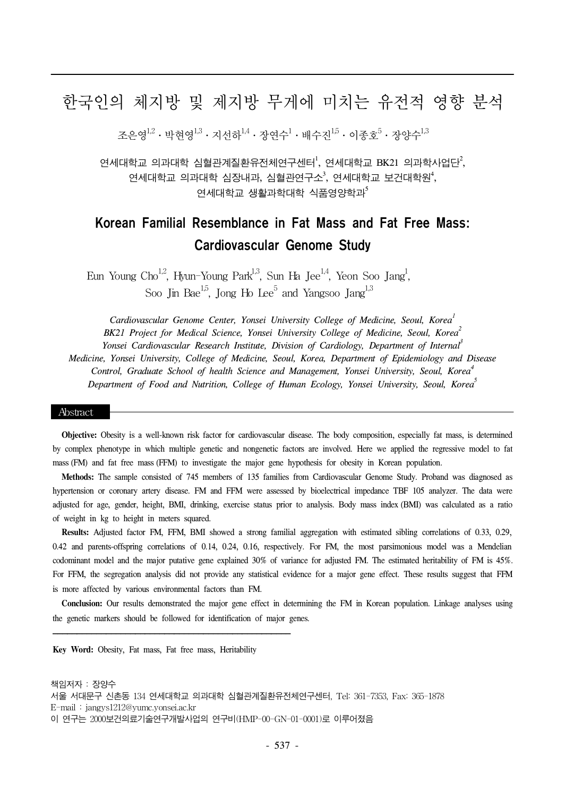# 한국인의 체지방 및 제지방 무게에 미치는 유전적 영향 분석

조은영 $^{1,2}\cdot$  박현영 $^{1,3}\cdot$  지선하 $^{1,4}\cdot$  장연수 $^{1}\cdot$  배수진 $^{1,5}\cdot$  이종호 $^{5}\cdot$  장양수 $^{1,3}$ 

연세대학교 의과대학 심혈관계질환유전체연구센터 $^{\rm l}$ , 연세대학교 BK21 의과학사업단 $^{\rm 2}$ , 연세대학교 의과대학 심장내과, 심혈관연구소 $^3$ , 연세대학교 보건대학원 $^4$ , 여세대학교 생확과학대학 식품영양학과 $^5$ 

# Korean Familial Resemblance in Fat Mass and Fat Free Mass: Cardiovascular Genome Study

Eun Young Cho<sup>1,2</sup>, Hyun-Young Park<sup>1,3</sup>, Sun Ha Jee<sup>1,4</sup>, Yeon Soo Jang<sup>1</sup>, Soo Jin Bae<sup>1,5</sup>, Jong Ho Lee<sup>5</sup> and Yangsoo Jang<sup>1,3</sup>

*Cardiovascular Genome Center, Yonsei University College of Medicine, Seoul, Korea1 BK21 Project for Medical Science, Yonsei University College of Medicine, Seoul, Korea2 Yonsei Cardiovascular Research Institute, Division of Cardiology, Department of Internal3 Medicine, Yonsei University, College of Medicine, Seoul, Korea, Department of Epidemiology and Disease Control, Graduate School of health Science and Management, Yonsei University, Seoul, Korea4 Department of Food and Nutrition, College of Human Ecology, Yonsei University, Seoul, Korea5*

#### Abstract

**Objective:** Obesity is a well-known risk factor for cardiovascular disease. The body composition, especially fat mass, is determined by complex phenotype in which multiple genetic and nongenetic factors are involved. Here we applied the regressive model to fat mass (FM) and fat free mass (FFM) to investigate the major gene hypothesis for obesity in Korean population.

**Methods:** The sample consisted of 745 members of 135 families from Cardiovascular Genome Study. Proband was diagnosed as hypertension or coronary artery disease. FM and FFM were assessed by bioelectrical impedance TBF 105 analyzer. The data were adjusted for age, gender, height, BMI, drinking, exercise status prior to analysis. Body mass index (BMI) was calculated as a ratio of weight in kg to height in meters squared.

**Results:** Adjusted factor FM, FFM, BMI showed a strong familial aggregation with estimated sibling correlations of 0.33, 0.29, 0.42 and parents-offspring correlations of 0.14, 0.24, 0.16, respectively. For FM, the most parsimonious model was a Mendelian codominant model and the major putative gene explained 30% of variance for adjusted FM. The estimated heritability of FM is 45%. For FFM, the segregation analysis did not provide any statistical evidence for a major gene effect. These results suggest that FFM is more affected by various environmental factors than FM.

**Conclusion:** Our results demonstrated the major gene effect in determining the FM in Korean population. Linkage analyses using the genetic markers should be followed for identification of major genes.

**Key Word:** Obesity, Fat mass, Fat free mass, Heritability

책임저자 : 장양수 서울 서대문구 신촌동 134 연세대학교 의과대학 심혈관계질환유전체연구센터, Tel: 361-7353, Fax: 365-1878 E-mail : jangys1212@yumc.yonsei.ac.kr 이 연구는 2000보건의료기술연구개발사업의 연구비(HMP-00-GN-01-0001)로 이루어졌음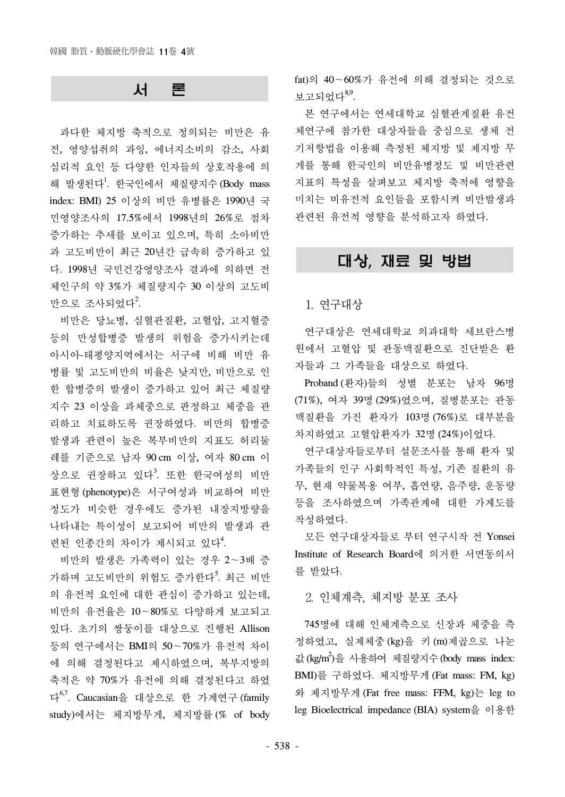## 서 론

과다한 체지방 축적으로 정의되는 비만은 유 전, 영양섭취의 과잉, 에너지소비의 감소, 사회 심리적 요인 등 다양한 인자들의 상호작용에 의 해 발생된다<sup>1</sup>. 한국인에서 체질량지수 (Body mass index: BMI) 25 이상의 비만 유병률은 1990년 국 민영양조사의 17.5%에서 1998년의 26%로 점차 증가하는 추세를 보이고 있으며, 특히 소아비만 과 고도비만이 최근 20년간 급속히 증가하고 있 다. 1998년 국민건강영양조사 결과에 의하면 전 체인구의 약 3%가 체질량지수 30 이상의 고도비 만으로 조사되었다<sup>2</sup>.

비만은 당뇨병, 심혈관질환, 고혈압, 고지혈증 등의 만성합병증 발생의 위험을 증가시키는데 아시아-태평양지역에서는 서구에 비해 비만 유 병률 및 고도비만의 비율은 낮지만, 비만으로 인 한 합병증의 발생이 증가하고 있어 최근 체질량 지수 23 이상을 과체중으로 판정하고 체중을 관 리하고 치료하도록 권장하였다. 비만의 합병증 발생과 관련이 높은 복부비만의 지표도 허리둘 레를 기준으로 남자 90 cm 이상, 여자 80 cm 이 상으로 권장하고 있다<sup>3</sup>. 또한 한국여성의 비만 표현형 (phenotype)은 서구여성과 비교하여 비만 정도가 비슷한 경우에도 증가된 내장지방량을 나타내는 특이성이 보고되어 비만의 발생과 관 련된 인종간의 차이가 제시되고 있다<sup>4</sup>.

비만의 발생은 가족력이 있는 경우 2∼3배 증 가하며 고도비만의 위험도 증가한다<sup>5</sup>. 최근 비만 의 유전적 요인에 대한 관심이 증가하고 있는데, 비만의 유전율은 10∼80%로 다양하게 보고되고 있다. 초기의 쌍둥이를 대상으로 진행된 Allison 등의 연구에서는 BMI의 50∼70%가 유전적 차이 에 의해 결정된다고 제시하였으며, 복부지방의 축적은 약 70%가 유전에 의해 결정된다고 하였 다6,7. Caucasian을 대상으로 한 가계연구 (family study)에서는 체지방무게, 체지방률 (% of body fat)의 40∼60%가 유전에 의해 결정되는 것으로  $H$  고되었다 $^{8,9}$ .

본 연구에서는 연세대학교 심혈관계질환 유전 체연구에 참가한 대상자들을 중심으로 생체 전 기저항법을 이용해 측정된 체지방 및 제지방 무 게를 통해 한국인의 비만유병정도 및 비만관련 지표의 특성을 살펴보고 체지방 축적에 영향을 미치는 비유전적 요인들을 포함시켜 비만발생과 관련된 유전적 영향을 분석하고자 하였다.

## 대상, 재료 및 방법

1. 연구대상

연구대상은 연세대학교 의과대학 세브란스병 원에서 고혈압 및 관동맥질환으로 진단받은 환 자들과 그 가족들을 대상으로 하였다.

Proband (환자)들의 성별 분포는 남자 96명 (71%), 여자 39명 (29%)였으며, 질병분포는 관동 맥질환을 가진 환자가 103명 (76%)로 대부분을 차지하였고 고혈압환자가 32명 (24%)이었다.

연구대상자들로부터 설문조사를 통해 환자 및 가족들의 인구 사회학적인 특성, 기존 질환의 유 무, 현재 약물복용 여부, 흡연량, 음주량, 운동량 등을 조사하였으며 가족관계에 대한 가계도를 작성하였다.

모든 연구대상자들로 부터 연구시작 전 Yonsei Institute of Research Board에 의거한 서면동의서 를 받았다.

2. 인체계측, 체지방 분포 조사

745명에 대해 인체계측으로 신장과 체중을 측 정하였고, 실제체중 (kg)을 키 (m)제곱으로 나눈 값(kg/m2 )을 사용하여 체질량지수(body mass index: BMI)를 구하였다. 체지방무게 (Fat mass: FM, kg) 와 제지방무게 (Fat free mass: FFM, kg)는 leg to leg Bioelectrical impedance (BIA) system을 이용한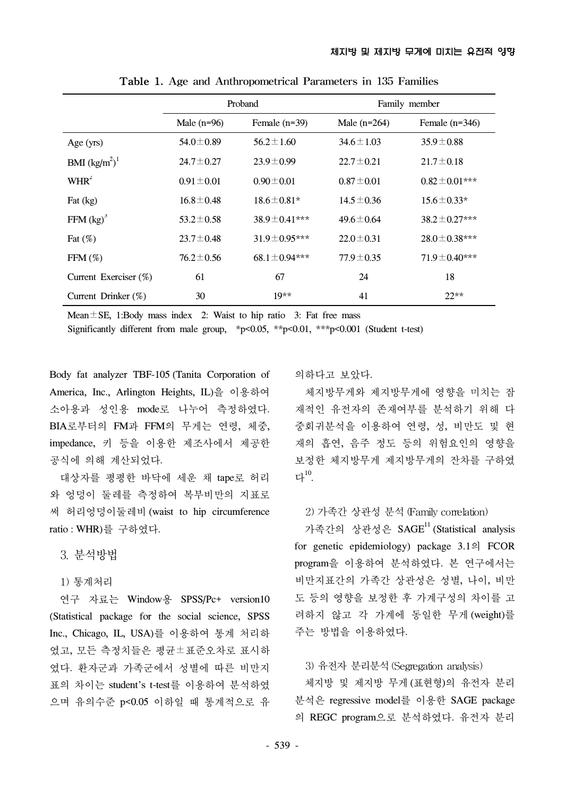|                         | Proband         |                    | Family member   |                    |
|-------------------------|-----------------|--------------------|-----------------|--------------------|
|                         | Male $(n=96)$   | Female $(n=39)$    | Male $(n=264)$  | Female $(n=346)$   |
| Age (yrs)               | $54.0 \pm 0.89$ | $56.2 \pm 1.60$    | $34.6 \pm 1.03$ | $35.9 \pm 0.88$    |
| <b>BMI</b> $(kg/m^2)^1$ | $24.7 \pm 0.27$ | $23.9 \pm 0.99$    | $22.7 \pm 0.21$ | $21.7 \pm 0.18$    |
| $WHR^2$                 | $0.91 \pm 0.01$ | $0.90 \pm 0.01$    | $0.87 \pm 0.01$ | $0.82 \pm 0.01***$ |
| Fat $(kg)$              | $16.8 \pm 0.48$ | $18.6 \pm 0.81*$   | $14.5 \pm 0.36$ | $15.6 \pm 0.33*$   |
| FFM $(kg)^3$            | $53.2 \pm 0.58$ | $38.9 \pm 0.41***$ | $49.6 \pm 0.64$ | $38.2 \pm 0.27***$ |
| Fat $(\%)$              | $23.7 \pm 0.48$ | $31.9 \pm 0.95***$ | $22.0 \pm 0.31$ | $28.0 \pm 0.38***$ |
| $FFM(\%)$               | $76.2 \pm 0.56$ | $68.1 \pm 0.94***$ | $77.9 \pm 0.35$ | $71.9 \pm 0.40***$ |
| Current Exerciser (%)   | 61              | 67                 | 24              | 18                 |
| Current Drinker (%)     | 30              | $19**$             | 41              | $22**$             |

Table 1. Age and Anthropometrical Parameters in 135 Families

Mean $\pm$ SE, 1:Body mass index 2: Waist to hip ratio 3: Fat free mass

Significantly different from male group, \*p<0.05, \*\*p<0.01, \*\*\*p<0.001 (Student t-test)

Body fat analyzer TBF-105 (Tanita Corporation of America, Inc., Arlington Heights, IL)을 이용하여 소아용과 성인용 mode로 나누어 측정하였다. BIA로부터의 FM과 FFM의 무게는 연령, 체중, impedance, 키 등을 이용한 제조사에서 제공한 공식에 의해 계산되었다.

대상자를 평평한 바닥에 세운 채 tape로 허리 와 엉덩이 둘레를 측정하여 복부비만의 지표로 써 허리엉덩이둘레비 (waist to hip circumference ratio : WHR)를 구하였다.

3. 분석방법

1) 통계처리

연구 자료는 Window용 SPSS/Pc+ version10 (Statistical package for the social science, SPSS Inc., Chicago, IL, USA)를 이용하여 통계 처리하 였고, 모든 측정치들은 평균±표준오차로 표시하 였다. 환자군과 가족군에서 성별에 따른 비만지 표의 차이는 student's t-test를 이용하여 분석하였 으며 유의수준 p<0.05 이하일 때 통계적으로 유

의하다고 보았다.

체지방무게와 제지방무게에 영향을 미치는 잠 재적인 유전자의 존재여부를 분석하기 위해 다 중회귀분석을 이용하여 연령, 성, 비만도 및 현 재의 흡연, 음주 정도 등의 위험요인의 영향을 보정한 체지방무게 제지방무게의 잔차를 구하였  $L^{10}$ .

## 2) 가족간 상관성 분석 (Family correlation)

가족간의 상관성은 SAGE<sup>11</sup> (Statistical analysis for genetic epidemiology) package 3.1의 FCOR program을 이용하여 분석하였다. 본 연구에서는 비만지표간의 가족간 상관성은 성별, 나이, 비만 도 등의 영향을 보정한 후 가계구성의 차이를 고 려하지 않고 각 가계에 동일한 무게 (weight)를 주는 방법을 이용하였다.

#### 3) 유전자 분리분석(Segregation analysis)

체지방 및 제지방 무게 (표현형)의 유전자 분리 분석은 regressive model를 이용한 SAGE package 의 REGC program으로 분석하였다. 유전자 분리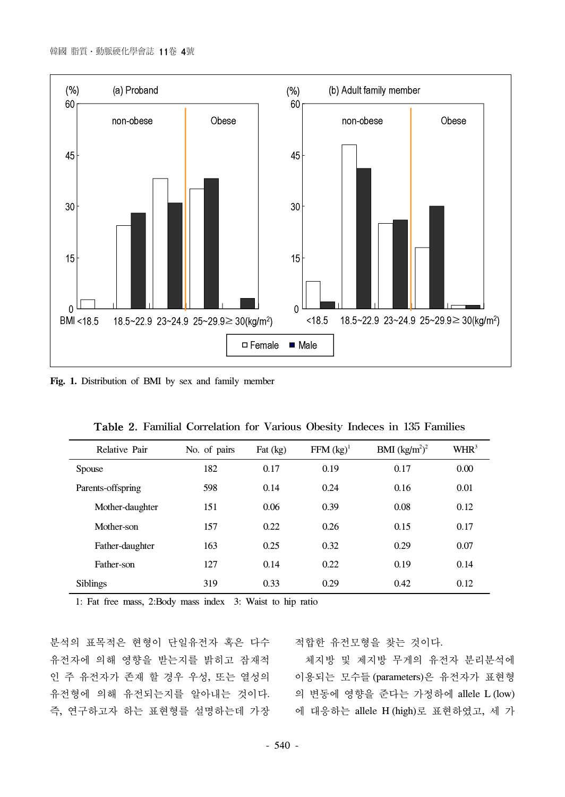

**Fig. 1.** Distribution of BMI by sex and family member

| Relative Pair     | No. of pairs | Fat $(kg)$ | $FFM (kg)^{1}$ | BMI $(kg/m^2)^2$ | WHR <sup>3</sup> |  |
|-------------------|--------------|------------|----------------|------------------|------------------|--|
| <b>Spouse</b>     | 182          | 0.17       | 0.19           | 0.17             | 0.00             |  |
| Parents-offspring | 598          | 0.14       | 0.24           | 0.16             | 0.01             |  |
| Mother-daughter   | 151          | 0.06       | 0.39           | 0.08             | 0.12             |  |
| Mother-son        | 157          | 0.22       | 0.26           | 0.15             | 0.17             |  |
| Father-daughter   | 163          | 0.25       | 0.32           | 0.29             | 0.07             |  |
| Father-son        | 127          | 0.14       | 0.22           | 0.19             | 0.14             |  |
| <b>Siblings</b>   | 319          | 0.33       | 0.29           | 0.42             | 0.12             |  |
|                   |              |            |                |                  |                  |  |

|  |  |  | Table 2. Familial Correlation for Various Obesity Indeces in 135 Families |  |  |  |  |  |  |  |
|--|--|--|---------------------------------------------------------------------------|--|--|--|--|--|--|--|
|--|--|--|---------------------------------------------------------------------------|--|--|--|--|--|--|--|

1: Fat free mass, 2:Body mass index 3: Waist to hip ratio

분석의 표목적은 현형이 단일유전자 혹은 다수 유전자에 의해 영향을 받는지를 밝히고 잠재적 인 주 유전자가 존재 할 경우 우성, 또는 열성의 유전형에 의해 유전되는지를 알아내는 것이다. 의 변동에 영향을 준다는 가정하에 allele L (low) 즉, 연구하고자 하는 표현형를 설명하는데 가장

적합한 유전모형을 찾는 것이다.

체지방 및 제지방 무게의 유전자 분리분석에 이용되는 모수들 (parameters)은 유전자가 표현형 에 대응하는 allele H (high)로 표현하였고, 세 가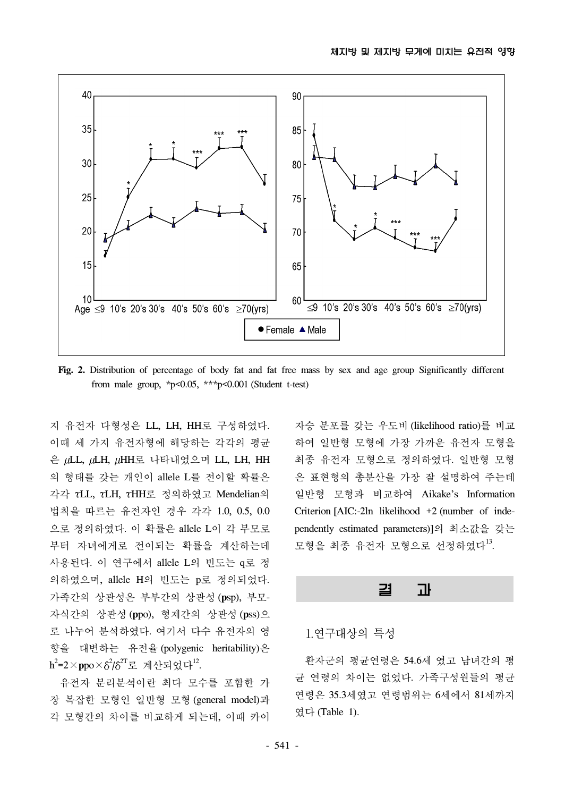

**Fig. 2.** Distribution of percentage of body fat and fat free mass by sex and age group Significantly different from male group,  $*p<0.05$ ,  $**p<0.001$  (Student t-test)

지 유전자 다형성은 LL, LH, HH로 구성하였다. 이때 세 가지 유전자형에 해당하는 각각의 평균 은 ULL, ULH, UHH로 나타내었으며 LL, LH, HH 의 형태를 갖는 개인이 allele L를 전이할 확률은 각각 LL, LH, HH로 정의하였고 Mendelian의 법칙을 따르는 유전자인 경우 각각 1.0, 0.5, 0.0 으로 정의하였다. 이 확률은 allele L이 각 부모로 부터 자녀에게로 전이되는 확률을 계산하는데 사용된다. 이 연구에서 allele L의 빈도는 q로 정 의하였으며, allele H의 빈도는 p로 정의되었다. 가족간의 상관성은 부부간의 상관성 (**p**sp), 부모-자식간의 상관성 (**p**po), 형제간의 상관성 (**p**ss)으 로 나누어 분석하였다. 여기서 다수 유전자의 영 향을 대변하는 유전율 (polygenic heritability)은 h<sup>2</sup>=2×**p**po×8<sup>2</sup>/8<sup>2T</sup>로 계산되었다<sup>12</sup>.

유전자 분리분석이란 최다 모수를 포함한 가 장 복잡한 모형인 일반형 모형 (general model)과 각 모형간의 차이를 비교하게 되는데, 이때 카이

자승 분포를 갖는 우도비 (likelihood ratio)를 비교 하여 일반형 모형에 가장 가까운 유전자 모형을 최종 유전자 모형으로 정의하였다. 일반형 모형 은 표현형의 총분산을 가장 잘 설명하여 주는데 일반형 모형과 비교하여 Aikake's Information Criterion [AIC:-2ln likelihood +2 (number of independently estimated parameters)]의 최소값을 갖는 모형을 최종 유전자 모형으로 선정하였다<sup>13</sup>.

## 결 과

### 1.연구대상의 특성

환자군의 평균연령은 54.6세 였고 남녀간의 평 균 연령의 차이는 없었다. 가족구성원들의 평균 연령은 35.3세였고 연령범위는 6세에서 81세까지 였다 (Table 1).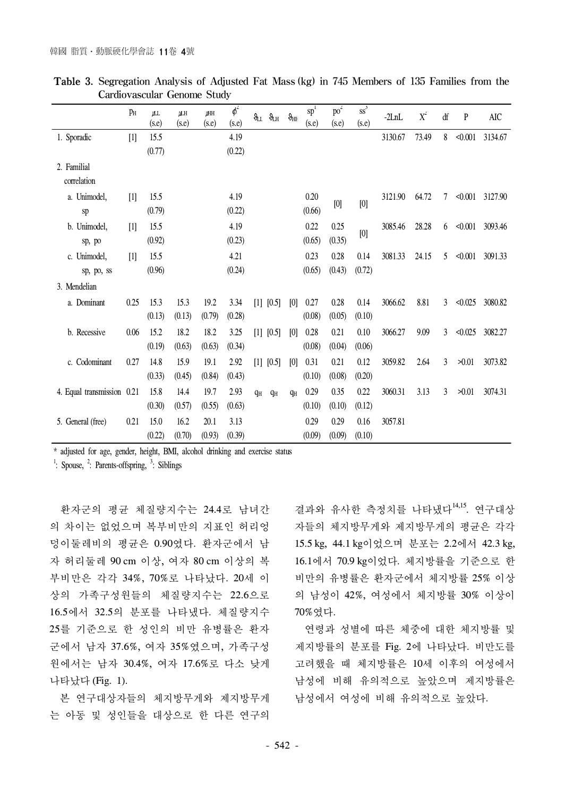|                            | PH                         | ILL<br>(s.e) | IАH<br>(s.e) | <b>IMH</b><br>(s.e) | $\overline{\phi}^2$<br>(s.e) | $\theta_{\rm LL}$ | $\vartheta_{\rm LH}$ | $\theta_{\rm HE}$ | $\overline{sp}^1$<br>(s.e) | po <sup>2</sup><br>(s.e) | $\overline{\text{ss}}^3$<br>(s.e) | $-2LnL$ | $X^2$ | df             | $\mathbf{P}$ | AIC                  |
|----------------------------|----------------------------|--------------|--------------|---------------------|------------------------------|-------------------|----------------------|-------------------|----------------------------|--------------------------|-----------------------------------|---------|-------|----------------|--------------|----------------------|
| 1. Sporadic                | $\lceil \mathbf{l} \rceil$ | 15.5         |              |                     | 4.19                         |                   |                      |                   |                            |                          |                                   | 3130.67 | 73.49 | 8              | < 0.001      | 3134.67              |
|                            |                            | (0.77)       |              |                     | (0.22)                       |                   |                      |                   |                            |                          |                                   |         |       |                |              |                      |
| 2. Familial                |                            |              |              |                     |                              |                   |                      |                   |                            |                          |                                   |         |       |                |              |                      |
| correlation                |                            |              |              |                     |                              |                   |                      |                   |                            |                          |                                   |         |       |                |              |                      |
| a. Unimodel,               | $\lceil \mathbf{l} \rceil$ | 15.5         |              |                     | 4.19                         |                   |                      |                   | 0.20                       |                          | [0]                               | 3121.90 | 64.72 | $\tau$         |              | $\leq 0.001$ 3127.90 |
| sp                         |                            | (0.79)       |              |                     | (0.22)                       |                   |                      |                   | (0.66)                     | [0]                      |                                   |         |       |                |              |                      |
| b. Unimodel,               | $[1]$                      | 15.5         |              |                     | 4.19                         |                   |                      |                   | 0.22                       | 0.25                     | [0]                               | 3085.46 | 28.28 | 6              |              | $\leq 0.001$ 3093.46 |
| sp, po                     |                            | (0.92)       |              |                     | (0.23)                       |                   |                      |                   | (0.65)                     | (0.35)                   |                                   |         |       |                |              |                      |
| c. Unimodel,               | $[1]$                      | 15.5         |              |                     | 4.21                         |                   |                      |                   | 0.23                       | 0.28                     | 0.14                              | 3081.33 | 24.15 | 5              | < 0.001      | 3091.33              |
| sp, po, ss                 |                            | (0.96)       |              |                     | (0.24)                       |                   |                      |                   | (0.65)                     | (0.43)                   | (0.72)                            |         |       |                |              |                      |
| 3. Mendelian               |                            |              |              |                     |                              |                   |                      |                   |                            |                          |                                   |         |       |                |              |                      |
| a. Dominant                | 0.25                       | 15.3         | 15.3         | 19.2                | 3.34                         |                   | [1] [0.5]            | [0]               | 0.27                       | 0.28                     | 0.14                              | 3066.62 | 8.81  | 3              | < 0.025      | 3080.82              |
|                            |                            | (0.13)       | (0.13)       | (0.79)              | (0.28)                       |                   |                      |                   | (0.08)                     | (0.05)                   | (0.10)                            |         |       |                |              |                      |
| b. Recessive               | 0.06                       | 15.2         | 18.2         | 18.2                | 3.25                         |                   | [1] [0.5]            | [0]               | 0.28                       | 0.21                     | 0.10                              | 3066.27 | 9.09  | $\overline{3}$ | < 0.025      | 3082.27              |
|                            |                            | (0.19)       | (0.63)       | (0.63)              | (0.34)                       |                   |                      |                   | (0.08)                     | (0.04)                   | (0.06)                            |         |       |                |              |                      |
| c. Codominant              | 0.27                       | 14.8         | 15.9         | 19.1                | 2.92                         | $[1]$             | [0.5]                | [0]               | 0.31                       | 0.21                     | 0.12                              | 3059.82 | 2.64  | 3              | >0.01        | 3073.82              |
|                            |                            | (0.33)       | (0.45)       | (0.84)              | (0.43)                       |                   |                      |                   | (0.10)                     | (0.08)                   | (0.20)                            |         |       |                |              |                      |
| 4. Equal transmission 0.21 |                            | 15.8         | 14.4         | 19.7                | 2.93                         | $q_H$             | $q_H$                | qн                | 0.29                       | 0.35                     | 0.22                              | 3060.31 | 3.13  | 3              | >0.01        | 3074.31              |
|                            |                            | (0.30)       | (0.57)       | (0.55)              | (0.63)                       |                   |                      |                   | (0.10)                     | (0.10)                   | (0.12)                            |         |       |                |              |                      |
| 5. General (free)          | 0.21                       | 15.0         | 16.2         | 20.1                | 3.13                         |                   |                      |                   | 0.29                       | 0.29                     | 0.16                              | 3057.81 |       |                |              |                      |
|                            |                            | (0.22)       | (0.70)       | (0.93)              | (0.39)                       |                   |                      |                   | (0.09)                     | (0.09)                   | (0.10)                            |         |       |                |              |                      |

| <b>Table 3.</b> Segregation Analysis of Adjusted Fat Mass (kg) in 745 Members of 135 Families from the |  |  |  |  |
|--------------------------------------------------------------------------------------------------------|--|--|--|--|
| Cardiovascular Genome Study                                                                            |  |  |  |  |

\* adjusted for age, gender, height, BMI, alcohol drinking and exercise status

 $\frac{1}{2}$ : Spouse,  $\frac{2}{2}$ : Parents-offspring,  $\frac{3}{2}$ : Siblings

환자군의 평균 체질량지수는 24.4로 남녀간 의 차이는 없었으며 복부비만의 지표인 허리엉 덩이둘레비의 평균은 0.90였다. 환자군에서 남 자 허리둘레 90 cm 이상, 여자 80 cm 이상의 복 부비만은 각각 34%, 70%로 나타났다. 20세 이 상의 가족구성원들의 체질량지수는 22.6으로 16.5에서 32.5의 분포를 나타냈다. 체질량지수 25를 기준으로 한 성인의 비만 유병률은 환자 군에서 남자 37.6%, 여자 35%였으며, 가족구성 원에서는 남자 30.4%, 여자 17.6%로 다소 낮게 나타났다 (Fig. 1).

본 연구대상자들의 체지방무게와 제지방무게 는 아동 및 성인들을 대상으로 한 다른 연구의

결과와 유사한 측정치를 나타냈다<sup>14,15</sup>. 연구대상 자들의 체지방무게와 제지방무게의 평균은 각각 15.5 kg, 44.1 kg이었으며 분포는 2.2에서 42.3 kg, 16.1에서 70.9 kg이었다. 체지방률을 기준으로 한 비만의 유병률은 환자군에서 체지방률 25% 이상 의 남성이 42%, 여성에서 체지방률 30% 이상이 70%였다.

연령과 성별에 따른 체중에 대한 체지방률 및 제지방률의 분포를 Fig. 2에 나타났다. 비만도를 고려했을 때 체지방률은 10세 이후의 여성에서 남성에 비해 유의적으로 높았으며 제지방률은 남성에서 여성에 비해 유의적으로 높았다.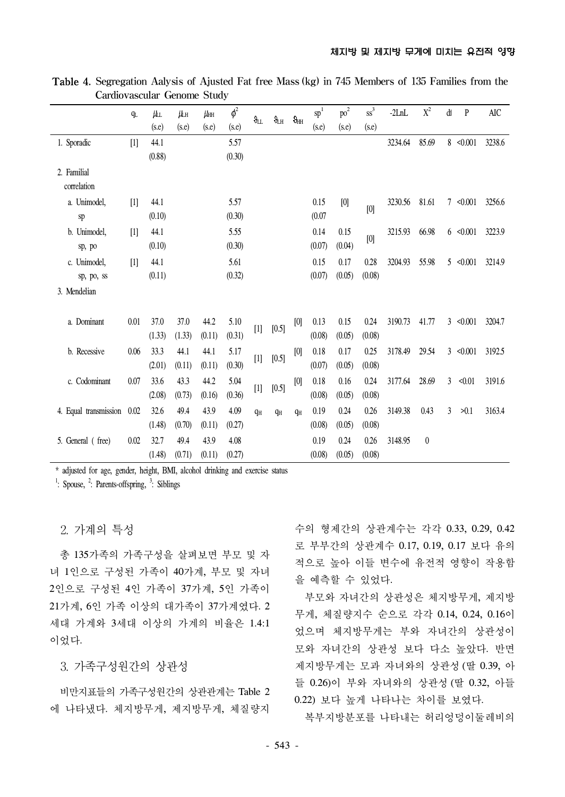|                       | $q_L$             | <b>仇</b> | <b>儿</b> | $\mu_{\rm HH}$ | $\phi^2$ | $\theta_{\rm LL}$                                                                                                                                                                                                                                                                                                                                                                                                                                                                                                                                                                                                                                                                                                                                                                                                                                                                                                              | $\vartheta_{\!LH}$ | $\vartheta_{HH}$ | $\overline{\text{sp}}^1$ | po <sup>2</sup> | $ss^3$                                                                                                                                                                                                                                                                                                                                                                                                                                                                                                                                                                                                                                                                                                                            | $-2LnL$ | $\mathbf{X}^2$ | ď | $\mathbf{P}$   | AIC    |
|-----------------------|-------------------|----------|----------|----------------|----------|--------------------------------------------------------------------------------------------------------------------------------------------------------------------------------------------------------------------------------------------------------------------------------------------------------------------------------------------------------------------------------------------------------------------------------------------------------------------------------------------------------------------------------------------------------------------------------------------------------------------------------------------------------------------------------------------------------------------------------------------------------------------------------------------------------------------------------------------------------------------------------------------------------------------------------|--------------------|------------------|--------------------------|-----------------|-----------------------------------------------------------------------------------------------------------------------------------------------------------------------------------------------------------------------------------------------------------------------------------------------------------------------------------------------------------------------------------------------------------------------------------------------------------------------------------------------------------------------------------------------------------------------------------------------------------------------------------------------------------------------------------------------------------------------------------|---------|----------------|---|----------------|--------|
|                       |                   | (s.e)    | (s.e)    | (s.e)          | (s.e)    |                                                                                                                                                                                                                                                                                                                                                                                                                                                                                                                                                                                                                                                                                                                                                                                                                                                                                                                                |                    |                  | (s.e)                    | (s.e)           | (s.e)                                                                                                                                                                                                                                                                                                                                                                                                                                                                                                                                                                                                                                                                                                                             |         |                |   |                |        |
| 1. Sporadic           | $\lceil 1 \rceil$ | 44.1     |          |                | 5.57     |                                                                                                                                                                                                                                                                                                                                                                                                                                                                                                                                                                                                                                                                                                                                                                                                                                                                                                                                |                    |                  |                          |                 |                                                                                                                                                                                                                                                                                                                                                                                                                                                                                                                                                                                                                                                                                                                                   | 3234.64 | 85.69          |   | 8 < 0.001      | 3238.6 |
|                       |                   | (0.88)   |          |                | (0.30)   |                                                                                                                                                                                                                                                                                                                                                                                                                                                                                                                                                                                                                                                                                                                                                                                                                                                                                                                                |                    |                  |                          |                 |                                                                                                                                                                                                                                                                                                                                                                                                                                                                                                                                                                                                                                                                                                                                   |         |                |   |                |        |
| 2. Familial           |                   |          |          |                |          |                                                                                                                                                                                                                                                                                                                                                                                                                                                                                                                                                                                                                                                                                                                                                                                                                                                                                                                                |                    |                  |                          |                 |                                                                                                                                                                                                                                                                                                                                                                                                                                                                                                                                                                                                                                                                                                                                   |         |                |   |                |        |
| correlation           |                   |          |          |                |          |                                                                                                                                                                                                                                                                                                                                                                                                                                                                                                                                                                                                                                                                                                                                                                                                                                                                                                                                |                    |                  |                          |                 |                                                                                                                                                                                                                                                                                                                                                                                                                                                                                                                                                                                                                                                                                                                                   |         |                |   |                |        |
| a. Unimodel,          | [1]               | 44.1     |          |                | 5.57     |                                                                                                                                                                                                                                                                                                                                                                                                                                                                                                                                                                                                                                                                                                                                                                                                                                                                                                                                |                    |                  | 0.15                     | [0]             |                                                                                                                                                                                                                                                                                                                                                                                                                                                                                                                                                                                                                                                                                                                                   | 3230.56 | 81.61          | 7 | < 0.001        | 3256.6 |
| sp                    |                   | (0.10)   |          |                | (0.30)   |                                                                                                                                                                                                                                                                                                                                                                                                                                                                                                                                                                                                                                                                                                                                                                                                                                                                                                                                |                    |                  | (0.07)                   |                 | [0]                                                                                                                                                                                                                                                                                                                                                                                                                                                                                                                                                                                                                                                                                                                               |         |                |   |                |        |
| b. Unimodel,          | $\lceil 1 \rceil$ | 44.1     |          |                | 5.55     |                                                                                                                                                                                                                                                                                                                                                                                                                                                                                                                                                                                                                                                                                                                                                                                                                                                                                                                                |                    |                  | 0.14                     | 0.15            |                                                                                                                                                                                                                                                                                                                                                                                                                                                                                                                                                                                                                                                                                                                                   | 3215.93 | 66.98          |   | $6 \le 0.001$  | 3223.9 |
| sp, po                |                   | (0.10)   |          |                | (0.30)   |                                                                                                                                                                                                                                                                                                                                                                                                                                                                                                                                                                                                                                                                                                                                                                                                                                                                                                                                |                    |                  | (0.07)                   | (0.04)          | $[0] % \begin{center} % \includegraphics[width=\linewidth]{imagesSupplemental_3.png} % \end{center} % \caption { % Our method can be used for the proposed method. % Note that the \emph{exponent} is used to be used in the text. % Note that the \emph{exponent} is used in the text. % Note that the \emph{exponent} is used to be used in the text. % Note that the \emph{exponent} is used in the text. % Note that the \emph{exponent} is used in the text. % Note that the \emph{exponent} is used in the text. % Note that the \emph{exportector} is used in the text. % Note that the \emph{exportector} is used in the text. % Note that the \emph{exportector} is used in the text. % Note that the \emph{exportector$ |         |                |   |                |        |
| c. Unimodel,          | $\lceil 1 \rceil$ | 44.1     |          |                | 5.61     |                                                                                                                                                                                                                                                                                                                                                                                                                                                                                                                                                                                                                                                                                                                                                                                                                                                                                                                                |                    |                  | 0.15                     | 0.17            | 0.28                                                                                                                                                                                                                                                                                                                                                                                                                                                                                                                                                                                                                                                                                                                              | 3204.93 | 55.98          |   | $5 \le 0.001$  | 3214.9 |
| sp, po, ss            |                   | (0.11)   |          |                | (0.32)   |                                                                                                                                                                                                                                                                                                                                                                                                                                                                                                                                                                                                                                                                                                                                                                                                                                                                                                                                |                    |                  | (0.07)                   | (0.05)          | (0.08)                                                                                                                                                                                                                                                                                                                                                                                                                                                                                                                                                                                                                                                                                                                            |         |                |   |                |        |
| 3. Mendelian          |                   |          |          |                |          |                                                                                                                                                                                                                                                                                                                                                                                                                                                                                                                                                                                                                                                                                                                                                                                                                                                                                                                                |                    |                  |                          |                 |                                                                                                                                                                                                                                                                                                                                                                                                                                                                                                                                                                                                                                                                                                                                   |         |                |   |                |        |
|                       |                   |          |          |                |          |                                                                                                                                                                                                                                                                                                                                                                                                                                                                                                                                                                                                                                                                                                                                                                                                                                                                                                                                |                    |                  |                          |                 |                                                                                                                                                                                                                                                                                                                                                                                                                                                                                                                                                                                                                                                                                                                                   |         |                |   |                |        |
| a. Dominant           | 0.01              | 37.0     | 37.0     | 44.2           | 5.10     | $[1] % \begin{center} % \includegraphics[width=\linewidth]{imagesSupplemental_3.png} % \end{center} % \caption { % Our method is used for the method. % Our method is used for the method. % Note that the method is used for the method. % Note that the method is used for the method. % Note that the method is used for the method. % Note that the method is used for the method. % Note that the method is used for the method. % Note that the method is used for the method. % Note that the method is used for the method. % Note that the method is used for the method. % Note that the method is used for the method. % Note that the method is used for the method. % Note that the method is used for the method. % Note that the method is used for the method. % Note that the method is used for the method. % Note that the method is used for the method. % Note that the method is used for the method. %$ | $[0.5]$            | [0]              | 0.13                     | 0.15            | 0.24                                                                                                                                                                                                                                                                                                                                                                                                                                                                                                                                                                                                                                                                                                                              | 3190.73 | 41.77          |   | $3 \leq 0.001$ | 3204.7 |
|                       |                   | (1.33)   | (1.33)   | (0.11)         | (0.31)   |                                                                                                                                                                                                                                                                                                                                                                                                                                                                                                                                                                                                                                                                                                                                                                                                                                                                                                                                |                    |                  | (0.08)                   | (0.05)          | (0.08)                                                                                                                                                                                                                                                                                                                                                                                                                                                                                                                                                                                                                                                                                                                            |         |                |   |                |        |
| b. Recessive          | 0.06              | 33.3     | 44.1     | 44.1           | 5.17     | $[1] % \begin{center} % \includegraphics[width=\linewidth]{imagesSupplemental_3.png} % \end{center} % \caption { % Our method can be used for the proposed method. % Note that the \emph{Stab} and the \emph{Stab} can be used for the \emph{Stab} and the \emph{Stab} can be used for the \emph{Stab} and the \emph{Stab} can be used for the \emph{Stab} and the \emph{Stab} can be used for the \emph{Stab} and the \emph{Stab} can be used for the \emph{Stab} and the \emph{Stab} can be used for the \emph{Stab} and the \emph{Stab} can be used for the \emph{Stab} and the \emph{Stab} can be used for the \$                                                                                                                                                                                                                                                                                                          | $[0.5]$            | [0]              | 0.18                     | 0.17            | 0.25                                                                                                                                                                                                                                                                                                                                                                                                                                                                                                                                                                                                                                                                                                                              | 3178.49 | 29.54          |   | $3 \leq 0.001$ | 3192.5 |
|                       |                   | (2.01)   | (0.11)   | (0.11)         | (0.30)   |                                                                                                                                                                                                                                                                                                                                                                                                                                                                                                                                                                                                                                                                                                                                                                                                                                                                                                                                |                    |                  | (0.07)                   | (0.05)          | (0.08)                                                                                                                                                                                                                                                                                                                                                                                                                                                                                                                                                                                                                                                                                                                            |         |                |   |                |        |
| c. Codominant         | 0.07              | 33.6     | 43.3     | 44.2           | 5.04     |                                                                                                                                                                                                                                                                                                                                                                                                                                                                                                                                                                                                                                                                                                                                                                                                                                                                                                                                | $[0.5]$            | [0]              | 0.18                     | 0.16            | 0.24                                                                                                                                                                                                                                                                                                                                                                                                                                                                                                                                                                                                                                                                                                                              | 3177.64 | 28.69          | 3 | < 0.01         | 3191.6 |
|                       |                   | (2.08)   | (0.73)   | (0.16)         | (0.36)   | $[1] % \begin{center} % \includegraphics[width=\linewidth]{imagesSupplemental_3.png} % \end{center} % \caption { % Our method can be used for the proposed method. % Note that the \emph{exponent} and \emph{exponent} is used in the text. % Note that the \emph{exponent} is used in the text. % Note that the \emph{exponent} is used in the text. % Note that the \emph{exponent} is used in the text. % Note that the \emph{exponent} is used in the text. % Note that the \emph{exponent} is used in the text. % Note that the \emph{exportector} is used in the text. % Note that the \emph{exportector} is used in the text. % Note that the \emph{exportector} is used in the text. % Note that the \emph{ex$                                                                                                                                                                                                         |                    |                  | (0.08)                   | (0.05)          | (0.08)                                                                                                                                                                                                                                                                                                                                                                                                                                                                                                                                                                                                                                                                                                                            |         |                |   |                |        |
| 4. Equal transmission | 0.02              | 32.6     | 49.4     | 43.9           | 4.09     | qн                                                                                                                                                                                                                                                                                                                                                                                                                                                                                                                                                                                                                                                                                                                                                                                                                                                                                                                             | qн                 | q <sub>H</sub>   | 0.19                     | 0.24            | 0.26                                                                                                                                                                                                                                                                                                                                                                                                                                                                                                                                                                                                                                                                                                                              | 3149.38 | 0.43           | 3 | >0.1           | 3163.4 |
|                       |                   | (1.48)   | (0.70)   | (0.11)         | (0.27)   |                                                                                                                                                                                                                                                                                                                                                                                                                                                                                                                                                                                                                                                                                                                                                                                                                                                                                                                                |                    |                  | (0.08)                   | (0.05)          | (0.08)                                                                                                                                                                                                                                                                                                                                                                                                                                                                                                                                                                                                                                                                                                                            |         |                |   |                |        |
| 5. General (free)     | 0.02              | 32.7     | 49.4     | 43.9           | 4.08     |                                                                                                                                                                                                                                                                                                                                                                                                                                                                                                                                                                                                                                                                                                                                                                                                                                                                                                                                |                    |                  | 0.19                     | 0.24            | 0.26                                                                                                                                                                                                                                                                                                                                                                                                                                                                                                                                                                                                                                                                                                                              | 3148.95 | $\mathbf{0}$   |   |                |        |
|                       |                   | (1.48)   | (0.71)   | (0.11)         | (0.27)   |                                                                                                                                                                                                                                                                                                                                                                                                                                                                                                                                                                                                                                                                                                                                                                                                                                                                                                                                |                    |                  | (0.08)                   | (0.05)          | (0.08)                                                                                                                                                                                                                                                                                                                                                                                                                                                                                                                                                                                                                                                                                                                            |         |                |   |                |        |

Table 4. Segregation Aalysis of Ajusted Fat free Mass (kg) in 745 Members of 135 Families from the Cardiovascular Genome Study

\* adjusted for age, gender, height, BMI, alcohol drinking and exercise status

 $\cdot$ : Spouse,  $\cdot$ : Parents-offspring,  $\cdot$ : Siblings

2. 가계의 특성

총 135가족의 가족구성을 살펴보면 부모 및 자 녀 1인으로 구성된 가족이 40가계, 부모 및 자녀 2인으로 구성된 4인 가족이 37가계, 5인 가족이 21가계, 6인 가족 이상의 대가족이 37가계였다. 2 세대 가계와 3세대 이상의 가계의 비율은 1.4:1 이었다.

### 3. 가족구성원간의 상관성

비만지표들의 가족구성원간의 상관관계는 Table 2 에 나타냈다. 체지방무게, 제지방무게, 체질량지

수의 형제간의 상관계수는 각각 0.33, 0.29, 0.42 로 부부간의 상관계수 0.17, 0.19, 0.17 보다 유의 적으로 높아 이들 변수에 유전적 영향이 작용함 을 예측할 수 있었다.

부모와 자녀간의 상관성은 체지방무게, 제지방 무게, 체질량지수 순으로 각각 0.14, 0.24, 0.16이 었으며 체지방무게는 부와 자녀간의 상관성이 모와 자녀간의 상관성 보다 다소 높았다. 반면 제지방무게는 모과 자녀와의 상관성 (딸 0.39, 아 들 0.26)이 부와 자녀와의 상관성 (딸 0.32, 아들 0.22) 보다 높게 나타나는 차이를 보였다.

복부지방분포를 나타내는 허리엉덩이둘레비의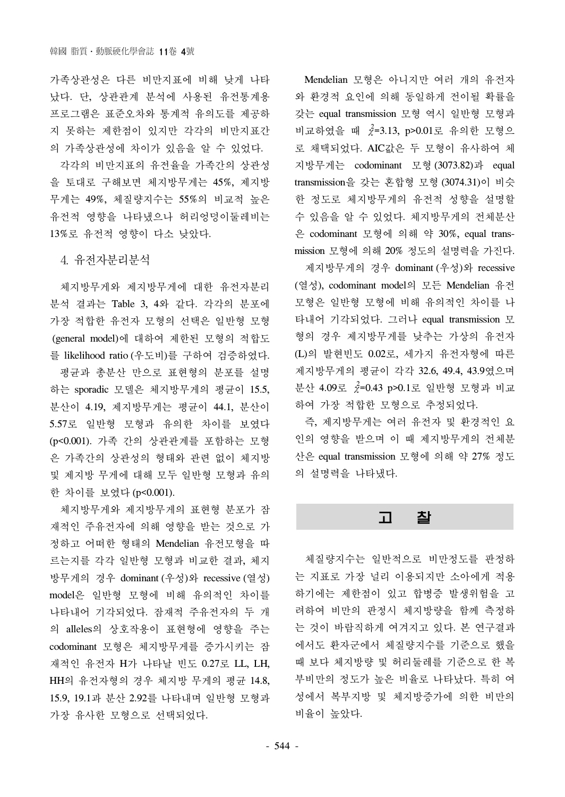가족상관성은 다른 비만지표에 비해 낮게 나타 났다. 단, 상관관계 분석에 사용된 유전통계용 프로그램은 표준오차와 통계적 유의도를 제공하 지 못하는 제한점이 있지만 각각의 비만지표간 의 가족상관성에 차이가 있음을 알 수 있었다.

각각의 비만지표의 유전율을 가족간의 상관성 을 토대로 구해보면 체지방무게는 45%, 제지방 무게는 49%, 체질량지수는 55%의 비교적 높은 유전적 영향을 나타냈으나 허리엉덩이둘레비는 13%로 유전적 영향이 다소 낮았다.

4. 유전자분리분석

체지방무게와 제지방무게에 대한 유전자분리 분석 결과는 Table 3, 4와 같다. 각각의 분포에 가장 적합한 유전자 모형의 선택은 일반형 모형 (general model)에 대하여 제한된 모형의 적합도 를 likelihood ratio (우도비)를 구하여 검증하였다. 평균과 총분산 만으로 표현형의 분포를 설명 하는 sporadic 모델은 체지방무게의 평균이 15.5, 분산이 4.19, 제지방무게는 평균이 44.1, 분산이 5.57로 일반형 모형과 유의한 차이를 보였다 (p<0.001). 가족 간의 상관관계를 포함하는 모형 은 가족간의 상관성의 형태와 관련 없이 체지방 및 제지방 무게에 대해 모두 일반형 모형과 유의 한 차이를 보였다 (p<0.001).

체지방무게와 제지방무게의 표현형 분포가 잠 재적인 주유전자에 의해 영향을 받는 것으로 가 정하고 어떠한 형태의 Mendelian 유전모형을 따 르는지를 각각 일반형 모형과 비교한 결과, 체지 방무게의 경우 dominant (우성)와 recessive (열성) model은 일반형 모형에 비해 유의적인 차이를 나타내어 기각되었다. 잠재적 주유전자의 두 개 의 alleles의 상호작용이 표현형에 영향을 주는 codominant 모형은 체지방무게를 증가시키는 잠 재적인 유전자 H가 나타날 빈도 0.27로 LL, LH, HH의 유전자형의 경우 체지방 무게의 평균 14.8, 15.9, 19.1과 분산 2.92를 나타내며 일반형 모형과 가장 유사한 모형으로 선택되었다.

Mendelian 모형은 아니지만 여러 개의 유전자 와 환경적 요인에 의해 동일하게 전이될 확률을 갖는 equal transmission 모형 역시 일반형 모형과 비교하였을 때  $\chi^2$ =3.13, p>0.01로 유의한 모형으 로 채택되었다. AIC값은 두 모형이 유사하여 체 지방무게는 codominant 모형 (3073.82)과 equal transmission을 갖는 혼합형 모형 (3074.31)이 비슷 한 정도로 체지방무게의 유전적 성향을 설명할 수 있음을 알 수 있었다. 체지방무게의 전체분산 은 codominant 모형에 의해 약 30%, equal transmission 모형에 의해 20% 정도의 설명력을 가진다.

제지방무게의 경우 dominant (우성)와 recessive (열성), codominant model의 모든 Mendelian 유전 모형은 일반형 모형에 비해 유의적인 차이를 나 타내어 기각되었다. 그러나 equal transmission 모 형의 경우 제지방무게를 낮추는 가상의 유전자 (L)의 발현빈도 0.02로, 세가지 유전자형에 따른 제지방무게의 평균이 각각 32.6, 49.4, 43.9였으며 분산 4.09로 χ 2 =0.43 p>0.1로 일반형 모형과 비교 하여 가장 적합한 모형으로 추정되었다.

즉, 제지방무게는 여러 유전자 및 환경적인 요 인의 영향을 받으며 이 때 제지방무게의 전체분 산은 equal transmission 모형에 의해 약 27% 정도 의 설명력을 나타냈다.

## 고 찰

체질량지수는 일반적으로 비만정도를 판정하 는 지표로 가장 널리 이용되지만 소아에게 적용 하기에는 제한점이 있고 합병증 발생위험을 고 려하여 비만의 판정시 체지방량을 함께 측정하 는 것이 바람직하게 여겨지고 있다. 본 연구결과 에서도 환자군에서 체질량지수를 기준으로 했을 때 보다 체지방량 및 허리둘레를 기준으로 한 복 부비만의 정도가 높은 비율로 나타났다. 특히 여 성에서 복부지방 및 체지방증가에 의한 비만의 비율이 높았다.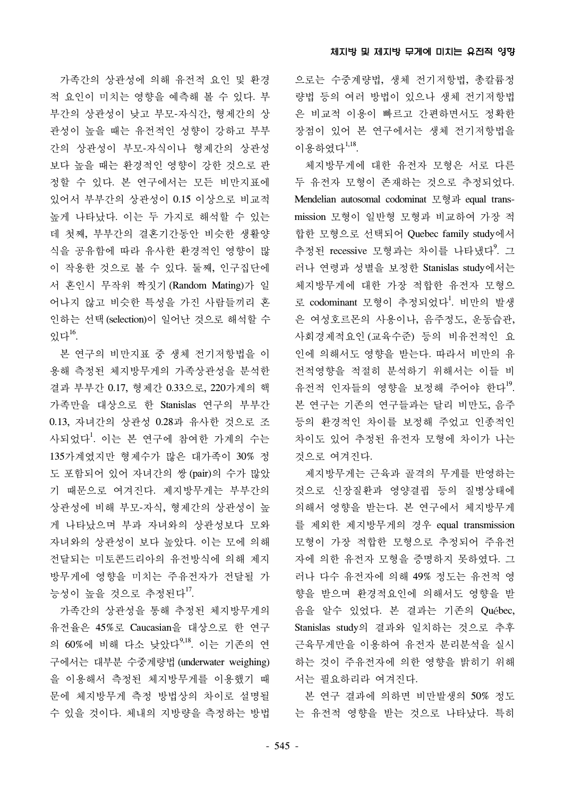가족간의 상관성에 의해 유전적 요인 및 환경 적 요인이 미치는 영향을 예측해 볼 수 있다. 부 부간의 상관성이 낮고 부모-자식간, 형제간의 상 관성이 높을 때는 유전적인 성향이 강하고 부부 간의 상관성이 부모-자식이나 형제간의 상관성 보다 높을 때는 환경적인 영향이 강한 것으로 판 정할 수 있다. 본 연구에서는 모든 비만지표에 있어서 부부간의 상관성이 0.15 이상으로 비교적 높게 나타났다. 이는 두 가지로 해석할 수 있는 데 첫째, 부부간의 결혼기간동안 비슷한 생활양 식을 공유함에 따라 유사한 환경적인 영향이 많 이 작용한 것으로 볼 수 있다. 둘째, 인구집단에 서 혼인시 무작위 짝짓기 (Random Mating)가 일 어나지 않고 비슷한 특성을 가진 사람들끼리 혼 인하는 선택(selection)이 일어난 것으로 해석할 수 있다 $^{16}$ .

본 연구의 비만지표 중 생체 전기저항법을 이 용해 측정된 체지방무게의 가족상관성을 분석한 결과 부부간 0.17, 형제간 0.33으로, 220가계의 핵 가족만을 대상으로 한 Stanislas 연구의 부부간 0.13, 자녀간의 상관성 0.28과 유사한 것으로 조 사되었다<sup>1</sup>. 이는 본 연구에 참여한 가계의 수는 135가계였지만 형제수가 많은 대가족이 30% 정 도 포함되어 있어 자녀간의 쌍 (pair)의 수가 많았 기 때문으로 여겨진다. 제지방무게는 부부간의 상관성에 비해 부모-자식, 형제간의 상관성이 높 게 나타났으며 부과 자녀와의 상관성보다 모와 자녀와의 상관성이 보다 높았다. 이는 모에 의해 전달되는 미토콘드리아의 유전방식에 의해 제지 방무게에 영향을 미치는 주유전자가 전달될 가 능성이 높을 것으로 추정된다<sup>17</sup>.

가족간의 상관성을 통해 추정된 체지방무게의 유전율은 45%로 Caucasian을 대상으로 한 연구 의 60%에 비해 다소 낮았다<sup>9,18</sup>. 이는 기존의 연 구에서는 대부분 수중계량법 (underwater weighing) 을 이용해서 측정된 체지방무게를 이용했기 때 문에 체지방무게 측정 방법상의 차이로 설명될 수 있을 것이다. 체내의 지방량을 측정하는 방법 으로는 수중계량법, 생체 전기저항법, 총칼륨정 량법 등의 여러 방법이 있으나 생체 전기저항법 은 비교적 이용이 빠르고 간편하면서도 정확한 장점이 있어 본 연구에서는 생체 전기저항법을 이용하였다<sup>1,18</sup>.

체지방무게에 대한 유전자 모형은 서로 다른 두 유전자 모형이 존재하는 것으로 추정되었다. Mendelian autosomal codominat 모형과 equal transmission 모형이 일반형 모형과 비교하여 가장 적 합한 모형으로 선택되어 Quebec family study에서 추정된 recessive 모형과는 차이를 나타냈다<sup>9</sup>. 그 러나 연령과 성별을 보정한 Stanislas study에서는 체지방무게에 대한 가장 적합한 유전자 모형으 로 codominant 모형이 추정되었다<sup>1</sup>. 비만의 발생 은 여성호르몬의 사용이나, 음주정도, 운동습관, 사회경제적요인 (교육수준) 등의 비유전적인 요 인에 의해서도 영향을 받는다. 따라서 비만의 유 전적영향을 적절히 분석하기 위해서는 이들 비 유전적 인자들의 영향을 보정해 주어야 한다<sup>19</sup>. 본 연구는 기존의 연구들과는 달리 비만도, 음주 등의 환경적인 차이를 보정해 주었고 인종적인 차이도 있어 추정된 유전자 모형에 차이가 나는 것으로 여겨진다.

제지방무게는 근육과 골격의 무게를 반영하는 것으로 신장질환과 영양결핍 등의 질병상태에 의해서 영향을 받는다. 본 연구에서 체지방무게 를 제외한 제지방무게의 경우 equal transmission 모형이 가장 적합한 모형으로 추정되어 주유전 자에 의한 유전자 모형을 증명하지 못하였다. 그 러나 다수 유전자에 의해 49% 정도는 유전적 영 향을 받으며 환경적요인에 의해서도 영향을 받 음을 알수 있었다. 본 결과는 기존의 Québec, Stanislas study의 결과와 일치하는 것으로 추후 근육무게만을 이용하여 유전자 분리분석을 실시 하는 것이 주유전자에 의한 영향을 밝히기 위해 서는 필요하리라 여겨진다.

본 연구 결과에 의하면 비만발생의 50% 정도 는 유전적 영향을 받는 것으로 나타났다. 특히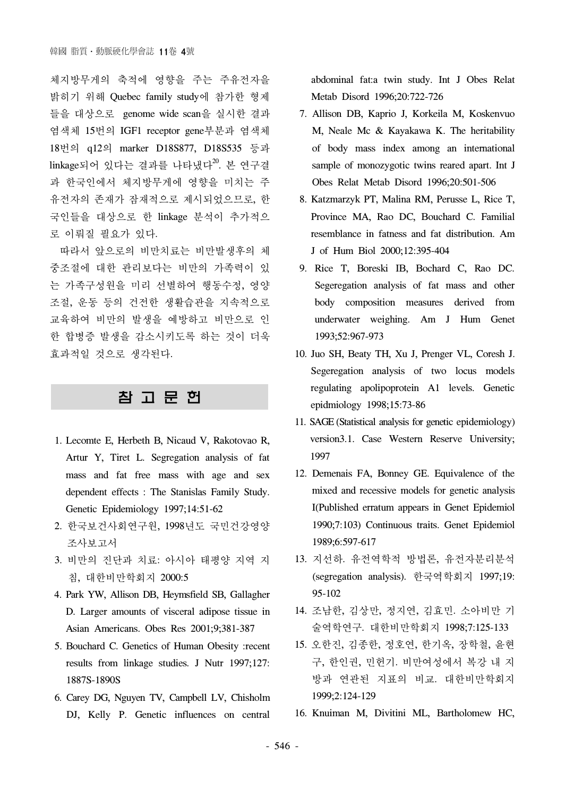체지방무게의 축적에 영향을 주는 주유전자을 밝히기 위해 Quebec family study에 참가한 형제 들을 대상으로 genome wide scan을 실시한 결과 염색체 15번의 IGF1 receptor gene부분과 염색체 18번의 q12의 marker D18S877, D18S535 등과 linkage되어 있다는 결과를 나타냈다 $^{20}$ . 본 연구결 과 한국인에서 체지방무게에 영향을 미치는 주 유전자의 존재가 잠재적으로 제시되었으므로, 한 국인들을 대상으로 한 linkage 분석이 추가적으 로 이뤄질 필요가 있다.

따라서 앞으로의 비만치료는 비만발생후의 체 중조절에 대한 관리보다는 비만의 가족력이 있 는 가족구성원을 미리 선별하여 행동수정, 영양 조절, 운동 등의 건전한 생활습관을 지속적으로 교육하여 비만의 발생을 예방하고 비만으로 인 한 합병증 발생을 감소시키도록 하는 것이 더욱 효과적일 것으로 생각된다.

# 참 고 문 헌

- 1. Lecomte E, Herbeth B, Nicaud V, Rakotovao R, Artur Y, Tiret L. Segregation analysis of fat mass and fat free mass with age and sex dependent effects : The Stanislas Family Study. Genetic Epidemiology 1997;14:51-62
- 2. 한국보건사회연구원, 1998년도 국민건강영양 조사보고서
- 3. 비만의 진단과 치료: 아시아 태평양 지역 지 침, 대한비만학회지 2000:5
- 4. Park YW, Allison DB, Heymsfield SB, Gallagher D. Larger amounts of visceral adipose tissue in Asian Americans. Obes Res 2001;9;381-387
- 5. Bouchard C. Genetics of Human Obesity :recent results from linkage studies. J Nutr 1997;127: 1887S-1890S
- 6. Carey DG, Nguyen TV, Campbell LV, Chisholm DJ, Kelly P. Genetic influences on central

abdominal fat:a twin study. Int J Obes Relat Metab Disord 1996;20:722-726

- 7. Allison DB, Kaprio J, Korkeila M, Koskenvuo M, Neale Mc & Kayakawa K. The heritability of body mass index among an international sample of monozygotic twins reared apart. Int J Obes Relat Metab Disord 1996;20:501-506
- 8. Katzmarzyk PT, Malina RM, Perusse L, Rice T, Province MA, Rao DC, Bouchard C. Familial resemblance in fatness and fat distribution. Am J of Hum Biol 2000;12:395-404
- 9. Rice T, Boreski IB, Bochard C, Rao DC. Segeregation analysis of fat mass and other body composition measures derived from underwater weighing. Am J Hum Genet 1993;52:967-973
- 10. Juo SH, Beaty TH, Xu J, Prenger VL, Coresh J. Segeregation analysis of two locus models regulating apolipoprotein A1 levels. Genetic epidmiology 1998;15:73-86
- 11. SAGE (Statistical analysis for genetic epidemiology) version3.1. Case Western Reserve University; 1997
- 12. Demenais FA, Bonney GE. Equivalence of the mixed and recessive models for genetic analysis I(Published erratum appears in Genet Epidemiol 1990;7:103) Continuous traits. Genet Epidemiol 1989;6:597-617
- 13. 지선하. 유전역학적 방법론, 유전자분리분석 (segregation analysis). 한국역학회지 1997;19: 95-102
- 14. 조남한, 김상만, 정지연, 김효민. 소아비만 기 술역학연구. 대한비만학회지 1998;7:125-133
- 15. 오한진, 김종한, 정호연, 한기옥, 장학철, 윤현 구, 한인권, 민헌기. 비만여성에서 복강 내 지 방과 연관된 지표의 비교. 대한비만학회지 1999;2:124-129
- 16. Knuiman M, Divitini ML, Bartholomew HC,